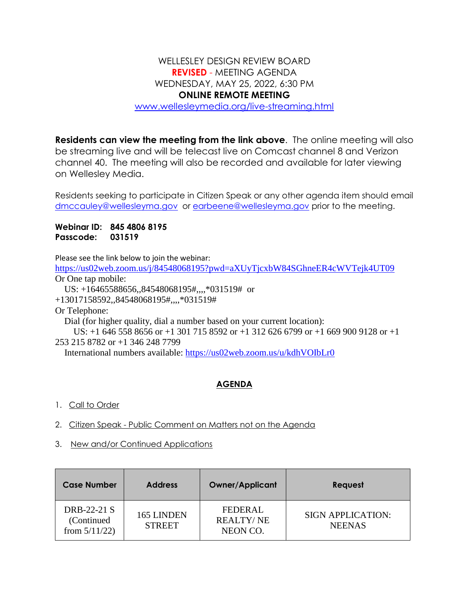## WELLESLEY DESIGN REVIEW BOARD **REVISED** - MEETING AGENDA WEDNESDAY, MAY 25, 2022, 6:30 PM **ONLINE REMOTE MEETING** [www.wellesleymedia.org/live-streaming.html](http://www.wellesleymedia.org/live-streaming.html)

**Residents can view the meeting from the link above**. The online meeting will also be streaming live and will be telecast live on Comcast channel 8 and Verizon channel 40. The meeting will also be recorded and available for later viewing on Wellesley Media.

Residents seeking to participate in Citizen Speak or any other agenda item should email [dmccauley@wellesleyma.gov](mailto:dmccauley@wellesleyma.gov) or [earbeene@wellesleyma.gov](mailto:earbeene@wellesleyma.gov) prior to the meeting.

**Webinar ID: 845 4806 8195 Passcode: 031519**

Please see the link below to join the webinar:

<https://us02web.zoom.us/j/84548068195?pwd=aXUyTjcxbW84SGhneER4cWVTejk4UT09> Or One tap mobile:

US: +16465588656,,84548068195#,,,,\*031519# or

+13017158592,,84548068195#,,,,\*031519#

Or Telephone:

Dial (for higher quality, dial a number based on your current location):

 US: +1 646 558 8656 or +1 301 715 8592 or +1 312 626 6799 or +1 669 900 9128 or +1 253 215 8782 or +1 346 248 7799

International numbers available:<https://us02web.zoom.us/u/kdhVOIbLr0>

## **AGENDA**

- 1. Call to Order
- 2. Citizen Speak Public Comment on Matters not on the Agenda
- 3. New and/or Continued Applications

| <b>Case Number</b>                             | <b>Address</b>              | <b>Owner/Applicant</b>                   | Request                                   |
|------------------------------------------------|-----------------------------|------------------------------------------|-------------------------------------------|
| DRB-22-21 S<br>(Continued)<br>from $5/11/22$ ) | 165 LINDEN<br><b>STREET</b> | FEDERAL.<br><b>REALTY/NE</b><br>NEON CO. | <b>SIGN APPLICATION:</b><br><b>NEENAS</b> |